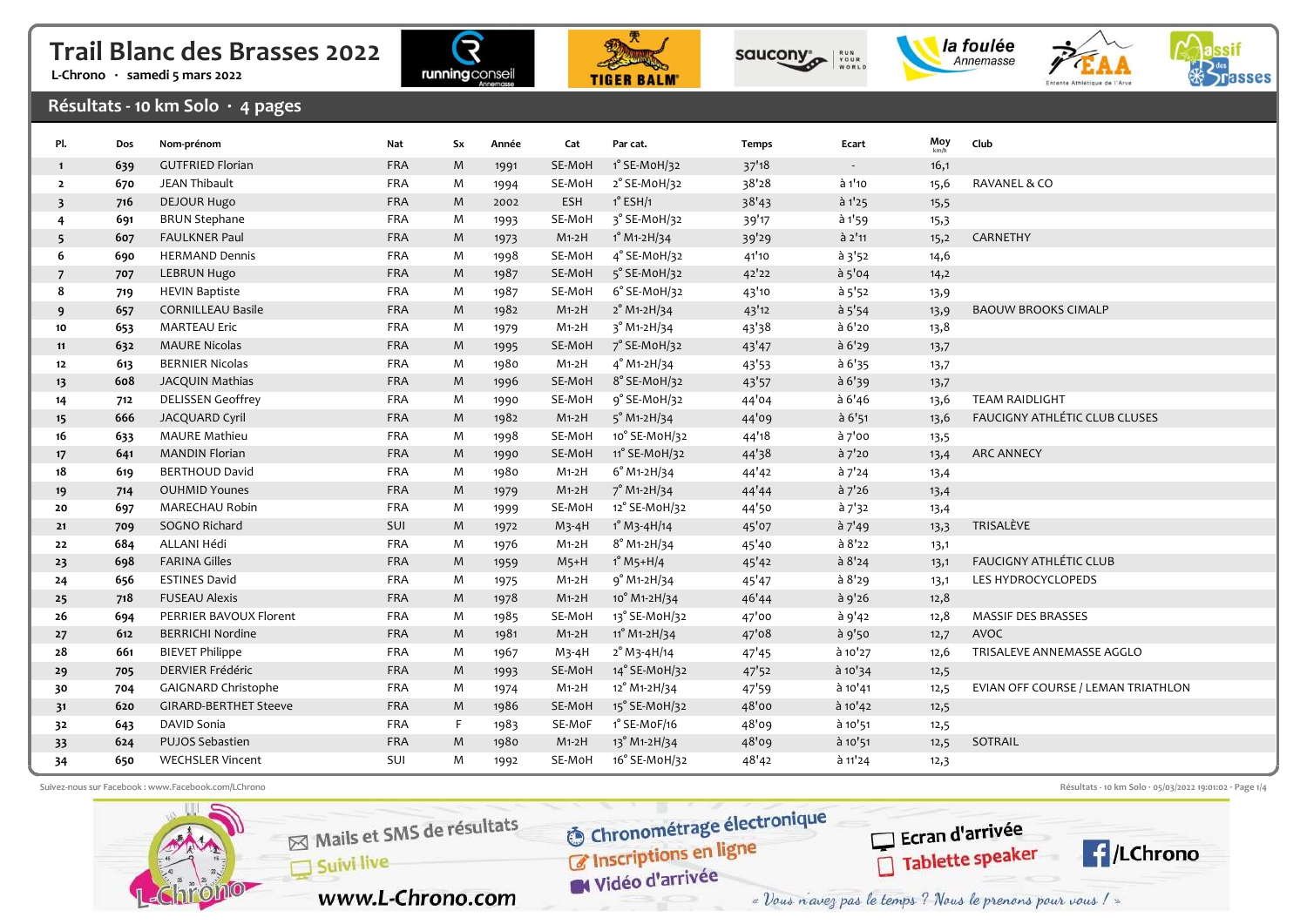









## Résultats - 10 km Solo · 4 pages

| PI.                     | Dos | Nom-prénom                   | Nat        | Sx | Année | Cat        | Par cat.                           | <b>Temps</b> | Ecart          | Moy  | Club                               |
|-------------------------|-----|------------------------------|------------|----|-------|------------|------------------------------------|--------------|----------------|------|------------------------------------|
| $\mathbf{1}$            | 639 | <b>GUTFRIED Florian</b>      | <b>FRA</b> | M  | 1991  | SE-MoH     | $1^\circ$ SE-MoH/32                | 37'18        | $\sim$         | 16,1 |                                    |
| $\overline{2}$          | 670 | JEAN Thibault                | <b>FRA</b> | M  | 1994  | SE-MoH     | 2° SE-MoH/32                       | 38'28        | à 1'10         | 15,6 | RAVANEL & CO                       |
| $\overline{\mathbf{3}}$ | 716 | <b>DEJOUR Hugo</b>           | <b>FRA</b> | M  | 2002  | <b>ESH</b> | $1^\circ$ ESH/1                    | 38'43        | $\lambda$ 1'25 | 15,5 |                                    |
| 4                       | 691 | <b>BRUN Stephane</b>         | <b>FRA</b> | M  | 1993  | SE-MoH     | 3° SE-MoH/32                       | 39'17        | à 1'59         | 15,3 |                                    |
| 5                       | 607 | <b>FAULKNER Paul</b>         | <b>FRA</b> | M  | 1973  | $M1-2H$    | $1^{\circ}$ M1-2H/34               | 39'29        | à 2'11         | 15,2 | CARNETHY                           |
| 6                       | 690 | <b>HERMAND Dennis</b>        | <b>FRA</b> | M  | 1998  | SE-MoH     | 4° SE-MoH/32                       | 41'10        | $a$ 3'52       | 14,6 |                                    |
| $\overline{7}$          | 707 | <b>LEBRUN Hugo</b>           | <b>FRA</b> | M  | 1987  | SE-MoH     | 5° SE-MoH/32                       | 42'22        | à 5'04         | 14,2 |                                    |
| 8                       | 719 | <b>HEVIN Baptiste</b>        | <b>FRA</b> | M  | 1987  | SE-MoH     | 6° SE-MoH/32                       | 43'10        | à 5'52         | 13,9 |                                    |
| 9                       | 657 | <b>CORNILLEAU Basile</b>     | <b>FRA</b> | M  | 1982  | $M1-2H$    | $2^{\circ}$ M1-2H/34               | 43'12        | à 5'54         | 13,9 | <b>BAOUW BROOKS CIMALP</b>         |
| 10                      | 653 | <b>MARTEAU Eric</b>          | <b>FRA</b> | M  | 1979  | $M1-2H$    | $3^{\circ}$ M <sub>1</sub> -2H/34  | 43'38        | à 6'20         | 13,8 |                                    |
| 11                      | 632 | <b>MAURE Nicolas</b>         | <b>FRA</b> | M  | 1995  | SE-MoH     | 7° SE-MoH/32                       | 43'47        | a 6'29         | 13,7 |                                    |
| 12                      | 613 | <b>BERNIER Nicolas</b>       | <b>FRA</b> | M  | 1980  | $M1-2H$    | $4^{\circ}$ M1-2H/34               | 43'53        | a 6'35         | 13,7 |                                    |
| 13                      | 608 | <b>JACQUIN Mathias</b>       | <b>FRA</b> | M  | 1996  | SE-MoH     | 8° SE-MoH/32                       | 43'57        | $a$ 6'39       | 13,7 |                                    |
| 14                      | 712 | <b>DELISSEN Geoffrey</b>     | FRA        | M  | 1990  | SE-MoH     | 9° SE-MoH/32                       | 44'04        | $a$ 6'46       | 13,6 | <b>TEAM RAIDLIGHT</b>              |
| 15                      | 666 | <b>JACQUARD Cyril</b>        | <b>FRA</b> | M  | 1982  | $M1-2H$    | $5^{\circ}$ M1-2H/34               | 44'09        | $a$ 6'51       | 13,6 | FAUCIGNY ATHLÉTIC CLUB CLUSES      |
| 16                      | 633 | <b>MAURE Mathieu</b>         | <b>FRA</b> | M  | 1998  | SE-MoH     | 10° SE-MoH/32                      | 44'18        | $a$ 7'00       | 13,5 |                                    |
| 17                      | 641 | <b>MANDIN Florian</b>        | <b>FRA</b> | M  | 1990  | SE-MoH     | 11° SE-MoH/32                      | 44'38        | à 7'20         | 13,4 | <b>ARC ANNECY</b>                  |
| 18                      | 619 | <b>BERTHOUD David</b>        | <b>FRA</b> | M  | 1980  | $M1-2H$    | $6°$ M1-2H/34                      | 44'42        | à 7'24         | 13,4 |                                    |
| 19                      | 714 | <b>OUHMID Younes</b>         | <b>FRA</b> | M  | 1979  | $M1-2H$    | 7° M1-2H/34                        | 44'44        | $a$ 7'26       | 13,4 |                                    |
| 20                      | 697 | <b>MARECHAU Robin</b>        | <b>FRA</b> | M  | 1999  | SE-MoH     | 12° SE-M0H/32                      | 44'50        | à 7'32         | 13,4 |                                    |
| 21                      | 709 | SOGNO Richard                | SUI        | M  | 1972  | $M_3-4H$   | $1^{\circ}$ M <sub>3</sub> -4H/14  | 45'07        | à 7'49         | 13,3 | TRISALÈVE                          |
| 22                      | 684 | ALLANI Hédi                  | <b>FRA</b> | M  | 1976  | $M1-2H$    | $8^{\circ}$ M <sub>1</sub> -2H/34  | 45'40        | à 8'22         | 13,1 |                                    |
| 23                      | 698 | <b>FARINA Gilles</b>         | <b>FRA</b> | M  | 1959  | $M5+H$     | $1^{\circ}$ M <sub>5</sub> +H/4    | 45'42        | a 8'24         | 13,1 | <b>FAUCIGNY ATHLÉTIC CLUB</b>      |
| 24                      | 656 | <b>ESTINES David</b>         | <b>FRA</b> | M  | 1975  | $M1-2H$    | $9°M1-2H/34$                       | 45'47        | $a$ 8'29       | 13,1 | LES HYDROCYCLOPEDS                 |
| 25                      | 718 | <b>FUSEAU Alexis</b>         | <b>FRA</b> | M  | 1978  | $M1-2H$    | $10^{\circ}$ M <sub>1</sub> -2H/34 | 46'44        | à 9'26         | 12,8 |                                    |
| 26                      | 694 | PERRIER BAVOUX Florent       | <b>FRA</b> | M  | 1985  | SE-MoH     | 13° SE-M0H/32                      | 47'00        | à 9'42         | 12,8 | MASSIF DES BRASSES                 |
| 27                      | 612 | <b>BERRICHI Nordine</b>      | <b>FRA</b> | M  | 1981  | $M1-2H$    | 11° M1-2H/34                       | 47'08        | à 9'50         | 12,7 | <b>AVOC</b>                        |
| 28                      | 661 | <b>BIEVET Philippe</b>       | <b>FRA</b> | M  | 1967  | M3-4H      | $2^{\circ}$ M3-4H/14               | 47'45        | à 10'27        | 12,6 | TRISALEVE ANNEMASSE AGGLO          |
| 29                      | 705 | DERVIER Frédéric             | <b>FRA</b> | M  | 1993  | SE-MoH     | 14° SE-MoH/32                      | 47'52        | à 10'34        | 12,5 |                                    |
| 30                      | 704 | <b>GAIGNARD Christophe</b>   | <b>FRA</b> | M  | 1974  | $M1-2H$    | 12° M1-2H/34                       | 47'59        | $a$ 10'41      | 12,5 | EVIAN OFF COURSE / LEMAN TRIATHLON |
| 31                      | 620 | <b>GIRARD-BERTHET Steeve</b> | <b>FRA</b> | M  | 1986  | SE-MoH     | 15° SE-MoH/32                      | 48'00        | $a$ 10'42      | 12,5 |                                    |
| 32                      | 643 | DAVID Sonia                  | <b>FRA</b> | F. | 1983  | SE-MoF     | 1° SE-MoF/16                       | 48'09        | à 10'51        | 12,5 |                                    |
| 33                      | 624 | PUJOS Sebastien              | <b>FRA</b> | M  | 1980  | $M1-2H$    | 13° M1-2H/34                       | 48'09        | à 10'51        | 12,5 | SOTRAIL                            |
| 34                      | 650 | <b>WECHSLER Vincent</b>      | SUI        | M  | 1992  | SE-MoH     | 16° SE-M0H/32                      | 48'42        | $a$ 11'24      | 12,3 |                                    |

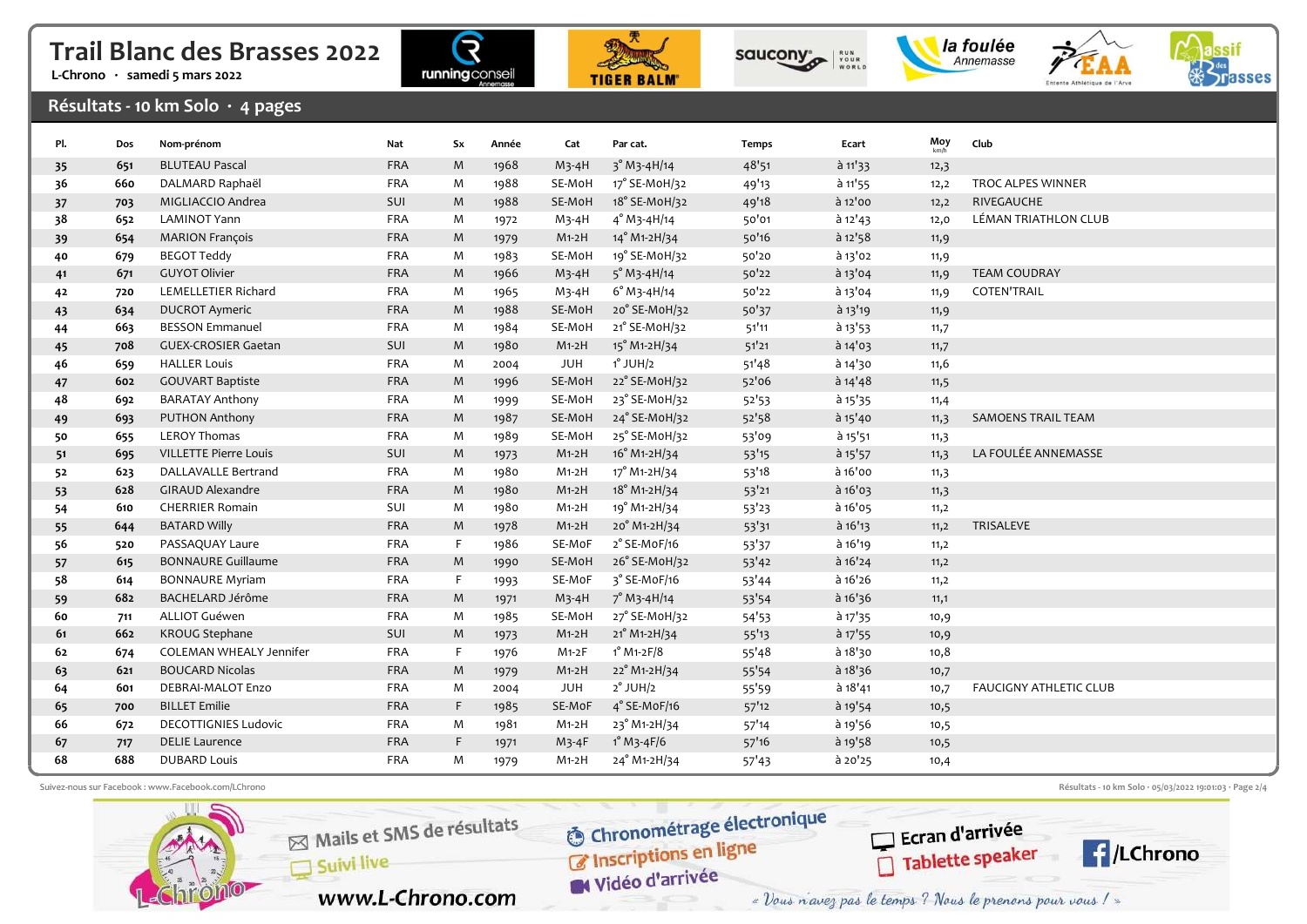









# Résultats - 10 km Solo · 4 pages

| PI. | Dos | Nom-prénom                     | Nat        | Sx           | Année | Cat        | Par cat.                          | Temps | Ecart           | Moy  | Club                          |
|-----|-----|--------------------------------|------------|--------------|-------|------------|-----------------------------------|-------|-----------------|------|-------------------------------|
| 35  | 651 | <b>BLUTEAU Pascal</b>          | <b>FRA</b> | M            | 1968  | $M_3-4H$   | $3°$ M <sub>3</sub> -4H/14        | 48'51 | $a$ 11'33       | 12,3 |                               |
| 36  | 660 | DALMARD Raphaël                | <b>FRA</b> | M            | 1988  | SE-MoH     | 17° SE-M0H/32                     | 49'13 | à 11'55         | 12,2 | TROC ALPES WINNER             |
| 37  | 703 | MIGLIACCIO Andrea              | SUI        | M            | 1988  | SE-MoH     | 18° SE-M0H/32                     | 49'18 | à 12'00         | 12,2 | RIVEGAUCHE                    |
| 38  | 652 | <b>LAMINOT Yann</b>            | <b>FRA</b> | M            | 1972  | $M_3-4H$   | $4^{\circ}$ M <sub>3</sub> -4H/14 | 50'01 | $a$ 12'43       | 12,0 | LÉMAN TRIATHLON CLUB          |
| 39  | 654 | <b>MARION François</b>         | <b>FRA</b> | M            | 1979  | $M1-2H$    | $14^{\circ}$ M1-2H/34             | 50'16 | $a$ 12'58       | 11,9 |                               |
| 40  | 679 | <b>BEGOT Teddy</b>             | <b>FRA</b> | M            | 1983  | SE-MoH     | 19° SE-MoH/32                     | 50'20 | à 13'02         | 11,9 |                               |
| 41  | 671 | <b>GUYOT Olivier</b>           | <b>FRA</b> | M            | 1966  | $M_3-4H$   | $5^{\circ}$ M <sub>3</sub> -4H/14 | 50'22 | $a$ 13'04       | 11,9 | <b>TEAM COUDRAY</b>           |
| 42  | 720 | LEMELLETIER Richard            | <b>FRA</b> | M            | 1965  | $M_3-4H$   | $6°M_3-4H/14$                     | 50'22 | à 13'04         | 11,9 | <b>COTEN'TRAIL</b>            |
| 43  | 634 | <b>DUCROT Aymeric</b>          | <b>FRA</b> | M            | 1988  | SE-MoH     | 20° SE-MoH/32                     | 50'37 | à 13'19         | 11,9 |                               |
| 44  | 663 | <b>BESSON Emmanuel</b>         | <b>FRA</b> | M            | 1984  | SE-MoH     | 21° SE-M0H/32                     | 51'11 | $a$ 13'53       | 11,7 |                               |
| 45  | 708 | <b>GUEX-CROSIER Gaetan</b>     | SUI        | M            | 1980  | $M1-2H$    | 15° M1-2H/34                      | 51'21 | à 14'03         | 11,7 |                               |
| 46  | 659 | <b>HALLER Louis</b>            | <b>FRA</b> | M            | 2004  | <b>JUH</b> | $1^\circ$ JUH/2                   | 51'48 | à 14'30         | 11,6 |                               |
| 47  | 602 | <b>GOUVART Baptiste</b>        | <b>FRA</b> | M            | 1996  | SE-MoH     | 22° SE-MoH/32                     | 52'06 | à 14'48         | 11,5 |                               |
| 48  | 692 | <b>BARATAY Anthony</b>         | <b>FRA</b> | M            | 1999  | SE-MoH     | 23° SE-M0H/32                     | 52'53 | à 15'35         | 11,4 |                               |
| 49  | 693 | <b>PUTHON Anthony</b>          | <b>FRA</b> | M            | 1987  | SE-MoH     | 24° SE-MoH/32                     | 52'58 | à 15'40         | 11,3 | <b>SAMOENS TRAIL TEAM</b>     |
| 50  | 655 | <b>LEROY Thomas</b>            | <b>FRA</b> | M            | 1989  | SE-MoH     | 25° SE-MoH/32                     | 53'09 | à 15'51         | 11,3 |                               |
| 51  | 695 | <b>VILLETTE Pierre Louis</b>   | SUI        | M            | 1973  | $M1-2H$    | 16° M1-2H/34                      | 53'15 | $\lambda$ 15'57 | 11,3 | LA FOULÉE ANNEMASSE           |
| 52  | 623 | <b>DALLAVALLE Bertrand</b>     | <b>FRA</b> | M            | 1980  | $M1-2H$    | 17° M1-2H/34                      | 53'18 | à 16'00         | 11,3 |                               |
| 53  | 628 | <b>GIRAUD Alexandre</b>        | <b>FRA</b> | M            | 1980  | $M1-2H$    | 18° M1-2H/34                      | 53'21 | $a$ 16'03       | 11,3 |                               |
| 54  | 610 | <b>CHERRIER Romain</b>         | SUI        | M            | 1980  | $M1-2H$    | 19° M1-2H/34                      | 53'23 | à 16'05         | 11,2 |                               |
| 55  | 644 | <b>BATARD Willy</b>            | <b>FRA</b> | M            | 1978  | $M1-2H$    | 20° M1-2H/34                      | 53'31 | $a$ 16'13       | 11,2 | TRISALEVE                     |
| 56  | 520 | PASSAQUAY Laure                | <b>FRA</b> | F            | 1986  | SE-MoF     | 2° SE-MoF/16                      | 53'37 | à 16'19         | 11,2 |                               |
| 57  | 615 | <b>BONNAURE Guillaume</b>      | <b>FRA</b> | M            | 1990  | SE-MoH     | 26° SE-MoH/32                     | 53'42 | $a$ 16'24       | 11,2 |                               |
| 58  | 614 | <b>BONNAURE Myriam</b>         | <b>FRA</b> | $\mathsf{F}$ | 1993  | SE-MoF     | 3° SE-MoF/16                      | 53'44 | à 16'26         | 11,2 |                               |
| 59  | 682 | <b>BACHELARD Jérôme</b>        | <b>FRA</b> | M            | 1971  | $M_3-4H$   | $7°$ M <sub>3</sub> -4H/14        | 53'54 | à 16'36         | 11,1 |                               |
| 60  | 711 | ALLIOT Guéwen                  | <b>FRA</b> | M            | 1985  | SE-MoH     | 27° SE-M0H/32                     | 54'53 | à 17'35         | 10,9 |                               |
| 61  | 662 | <b>KROUG Stephane</b>          | SUI        | M            | 1973  | $M1-2H$    | 21° M1-2H/34                      | 55'13 | $\hat{a}$ 17'55 | 10,9 |                               |
| 62  | 674 | <b>COLEMAN WHEALY Jennifer</b> | <b>FRA</b> | F            | 1976  | $M1-2F$    | $1^{\circ}$ M <sub>1</sub> -2F/8  | 55'48 | à 18'30         | 10,8 |                               |
| 63  | 621 | <b>BOUCARD Nicolas</b>         | <b>FRA</b> | M            | 1979  | $M1-2H$    | 22° M1-2H/34                      | 55'54 | $a$ 18'36       | 10,7 |                               |
| 64  | 601 | DEBRAI-MALOT Enzo              | <b>FRA</b> | M            | 2004  | JUH        | $2^\circ$ JUH/2                   | 55'59 | $a$ 18'41       | 10,7 | <b>FAUCIGNY ATHLETIC CLUB</b> |
| 65  | 700 | <b>BILLET Emilie</b>           | <b>FRA</b> | F            | 1985  | SE-MoF     | $4^\circ$ SE-MoF/16               | 57'12 | à 19'54         | 10,5 |                               |
| 66  | 672 | <b>DECOTTIGNIES Ludovic</b>    | <b>FRA</b> | M            | 1981  | $M1-2H$    | 23° M1-2H/34                      | 57'14 | à 19'56         | 10,5 |                               |
| 67  | 717 | <b>DELIE Laurence</b>          | <b>FRA</b> | F            | 1971  | $M_3 - 4F$ | $1^{\circ}$ M <sub>3</sub> -4F/6  | 57'16 | à 19'58         | 10,5 |                               |
| 68  | 688 | <b>DUBARD Louis</b>            | <b>FRA</b> | M            | 1979  | M1-2H      | 24° M1-2H/34                      | 57'43 | $a$ 20'25       | 10,4 |                               |

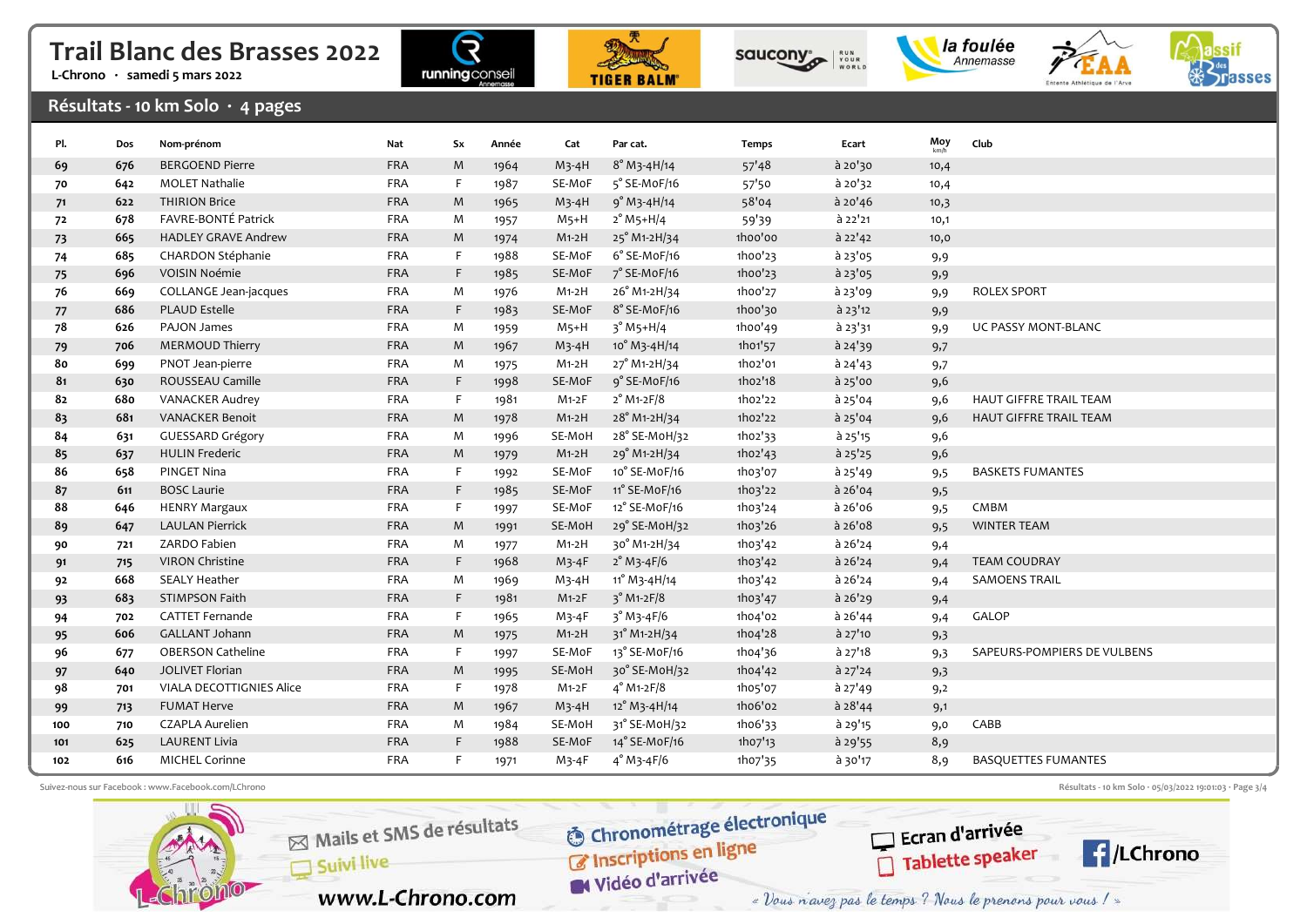









## Résultats - 10 km Solo · 4 pages

| Pl. | Dos | Nom-prénom                 | Nat        | <b>Sx</b> | Année | Cat      | Par cat.                                    | Temps   | Ecart     | $Moy$ km/h | Club                          |
|-----|-----|----------------------------|------------|-----------|-------|----------|---------------------------------------------|---------|-----------|------------|-------------------------------|
| 69  | 676 | <b>BERGOEND Pierre</b>     | <b>FRA</b> | M         | 1964  | $M_3-4H$ | $8^{\circ}$ M <sub>3</sub> -4H/14           | 57'48   | à 20'30   | 10,4       |                               |
| 70  | 642 | <b>MOLET Nathalie</b>      | <b>FRA</b> | -F        | 1987  | SE-MoF   | 5° SE-MoF/16                                | 57'50   | $a$ 20'32 | 10,4       |                               |
| 71  | 622 | <b>THIRION Brice</b>       | <b>FRA</b> | M         | 1965  | $M_3-4H$ | $9°M3 - 4H/14$                              | 58'04   | $a$ 20'46 | 10,3       |                               |
| 72  | 678 | FAVRE-BONTÉ Patrick        | <b>FRA</b> | M         | 1957  | $M5+H$   | $2^{\circ}$ M <sub>5</sub> +H/4             | 59'39   | à 22'21   | 10,1       |                               |
| 73  | 665 | <b>HADLEY GRAVE Andrew</b> | <b>FRA</b> | M         | 1974  | $M1-2H$  | 25° M1-2H/34                                | 1hoo'oo | à 22'42   | 10,0       |                               |
| 74  | 685 | <b>CHARDON Stéphanie</b>   | <b>FRA</b> | F.        | 1988  | SE-MoF   | 6° SE-MoF/16                                | 1h00'23 | à 23'05   | 9,9        |                               |
| 75  | 696 | VOISIN Noémie              | <b>FRA</b> | F         | 1985  | SE-MoF   | 7° SE-MoF/16                                | 1h00'23 | à 23'05   | 9,9        |                               |
| 76  | 669 | COLLANGE Jean-jacques      | <b>FRA</b> | M         | 1976  | $M1-2H$  | 26° M1-2H/34                                | 1hoo'27 | à 23'09   | 9,9        | <b>ROLEX SPORT</b>            |
| 77  | 686 | <b>PLAUD Estelle</b>       | <b>FRA</b> | F         | 1983  | SE-MoF   | 8° SE-MoF/16                                | 1h00'30 | à 23'12   | 9,9        |                               |
| 78  | 626 | PAJON James                | <b>FRA</b> | M         | 1959  | $M5+H$   | $3^{\circ}$ M <sub>5</sub> +H/ <sub>4</sub> | 1hoo'49 | à 23'31   | 9,9        | <b>UC PASSY MONT-BLANC</b>    |
| 79  | 706 | <b>MERMOUD Thierry</b>     | <b>FRA</b> | M         | 1967  | $M_3-4H$ | $10^{\circ}$ M3-4H/14                       | 1h01'57 | $a$ 24'39 | 9,7        |                               |
| 80  | 699 | PNOT Jean-pierre           | <b>FRA</b> | M         | 1975  | $M1-2H$  | 27° M1-2H/34                                | 1h02'01 | à 24'43   | 9,7        |                               |
| 81  | 630 | ROUSSEAU Camille           | <b>FRA</b> | F         | 1998  | SE-MoF   | 9° SE-MoF/16                                | 1ho2'18 | à 25'00   | 9,6        |                               |
| 82  | 680 | <b>VANACKER Audrey</b>     | <b>FRA</b> | F.        | 1981  | $M1-2F$  | $2^\circ$ M1-2F/8                           | 1h02'22 | $a$ 25'04 | 9,6        | HAUT GIFFRE TRAIL TEAM        |
| 83  | 681 | <b>VANACKER Benoit</b>     | <b>FRA</b> | M         | 1978  | $M1-2H$  | 28° M1-2H/34                                | 1h02'22 | $a$ 25'04 | 9,6        | <b>HAUT GIFFRE TRAIL TEAM</b> |
| 84  | 631 | <b>GUESSARD Grégory</b>    | <b>FRA</b> | M         | 1996  | SE-MoH   | 28° SE-M0H/32                               | 1ho2'33 | à 25'15   | 9,6        |                               |
| 85  | 637 | <b>HULIN Frederic</b>      | <b>FRA</b> | M         | 1979  | $M1-2H$  | 29° M1-2H/34                                | 1h02'43 | à 25'25   | 9,6        |                               |
| 86  | 658 | PINGET Nina                | <b>FRA</b> | F         | 1992  | SE-MoF   | 10° SE-M0F/16                               | 1h03'07 | à 25'49   | 9,5        | <b>BASKETS FUMANTES</b>       |
| 87  | 611 | <b>BOSC Laurie</b>         | <b>FRA</b> | F         | 1985  | SE-MoF   | 11° SE-M0F/16                               | 1h03'22 | à 26'04   | 9,5        |                               |
| 88  | 646 | <b>HENRY Margaux</b>       | <b>FRA</b> | F.        | 1997  | SE-MoF   | 12° SE-M0F/16                               | 1h03'24 | à 26'06   | 9,5        | CMBM                          |
| 89  | 647 | <b>LAULAN Pierrick</b>     | <b>FRA</b> | M         | 1991  | SE-MoH   | 29° SE-MoH/32                               | 1h03'26 | à 26'08   | 9,5        | <b>WINTER TEAM</b>            |
| 90  | 721 | ZARDO Fabien               | <b>FRA</b> | M         | 1977  | $M1-2H$  | 30° M1-2H/34                                | 1h03'42 | à 26'24   | 9,4        |                               |
| 91  | 715 | <b>VIRON Christine</b>     | <b>FRA</b> | F         | 1968  | $M3-4F$  | $2^{\circ}$ M <sub>3</sub> -4F/6            | 1h03'42 | à 26'24   | 9,4        | <b>TEAM COUDRAY</b>           |
| 92  | 668 | <b>SEALY Heather</b>       | <b>FRA</b> | M         | 1969  | $M_3-4H$ | 11° M3-4H/14                                | 1h03'42 | $a$ 26'24 | 9,4        | <b>SAMOENS TRAIL</b>          |
| 93  | 683 | <b>STIMPSON Faith</b>      | <b>FRA</b> | F         | 1981  | $M1-2F$  | $3^{\circ}$ M1-2F/8                         | 1h03'47 | à 26'29   | 9,4        |                               |
| 94  | 702 | <b>CATTET Fernande</b>     | <b>FRA</b> | F         | 1965  | $M3-4F$  | $3^{\circ}$ M <sub>3</sub> -4F/6            | 1h04'02 | $a$ 26'44 | 9,4        | GALOP                         |
| 95  | 606 | <b>GALLANT Johann</b>      | <b>FRA</b> | M         | 1975  | $M1-2H$  | 31° M1-2H/34                                | 1h04'28 | à 27'10   | 9,3        |                               |
| 96  | 677 | <b>OBERSON Catheline</b>   | <b>FRA</b> | F         | 1997  | SE-MoF   | 13° SE-M0F/16                               | 1h04'36 | à 27'18   | 9,3        | SAPEURS-POMPIERS DE VULBENS   |
| 97  | 640 | JOLIVET Florian            | <b>FRA</b> | M         | 1995  | SE-MoH   | 30° SE-MoH/32                               | 1h04'42 | $a$ 27'24 | 9,3        |                               |
| 98  | 701 | VIALA DECOTTIGNIES Alice   | <b>FRA</b> | F         | 1978  | $M1-2F$  | $4^{\circ}$ M1-2F/8                         | 1h05'07 | à 27'49   | 9,2        |                               |
| 99  | 713 | <b>FUMAT Herve</b>         | <b>FRA</b> | M         | 1967  | $M_3-4H$ | $12^{\circ}$ M <sub>3</sub> -4H/14          | 1h06'02 | $a$ 28'44 | 9,1        |                               |
| 100 | 710 | <b>CZAPLA Aurelien</b>     | <b>FRA</b> | M         | 1984  | SE-MoH   | 31° SE-M0H/32                               | 1h06'33 | à 29'15   | 9,0        | CABB                          |
| 101 | 625 | <b>LAURENT Livia</b>       | <b>FRA</b> | F         | 1988  | SE-MoF   | 14° SE-MoF/16                               | 1ho7'13 | $a$ 29'55 | 8,9        |                               |
| 102 | 616 | <b>MICHEL Corinne</b>      | <b>FRA</b> | F         | 1971  | $M3-4F$  | $4^{\circ}$ M <sub>3</sub> -4F/6            | 1ho7'35 | à 30'17   | 8,9        | <b>BASQUETTES FUMANTES</b>    |

Suivez-nous sur Facebook : www.Facebook.com/LChrono  $\frac{3}{2}$  rage 3/4

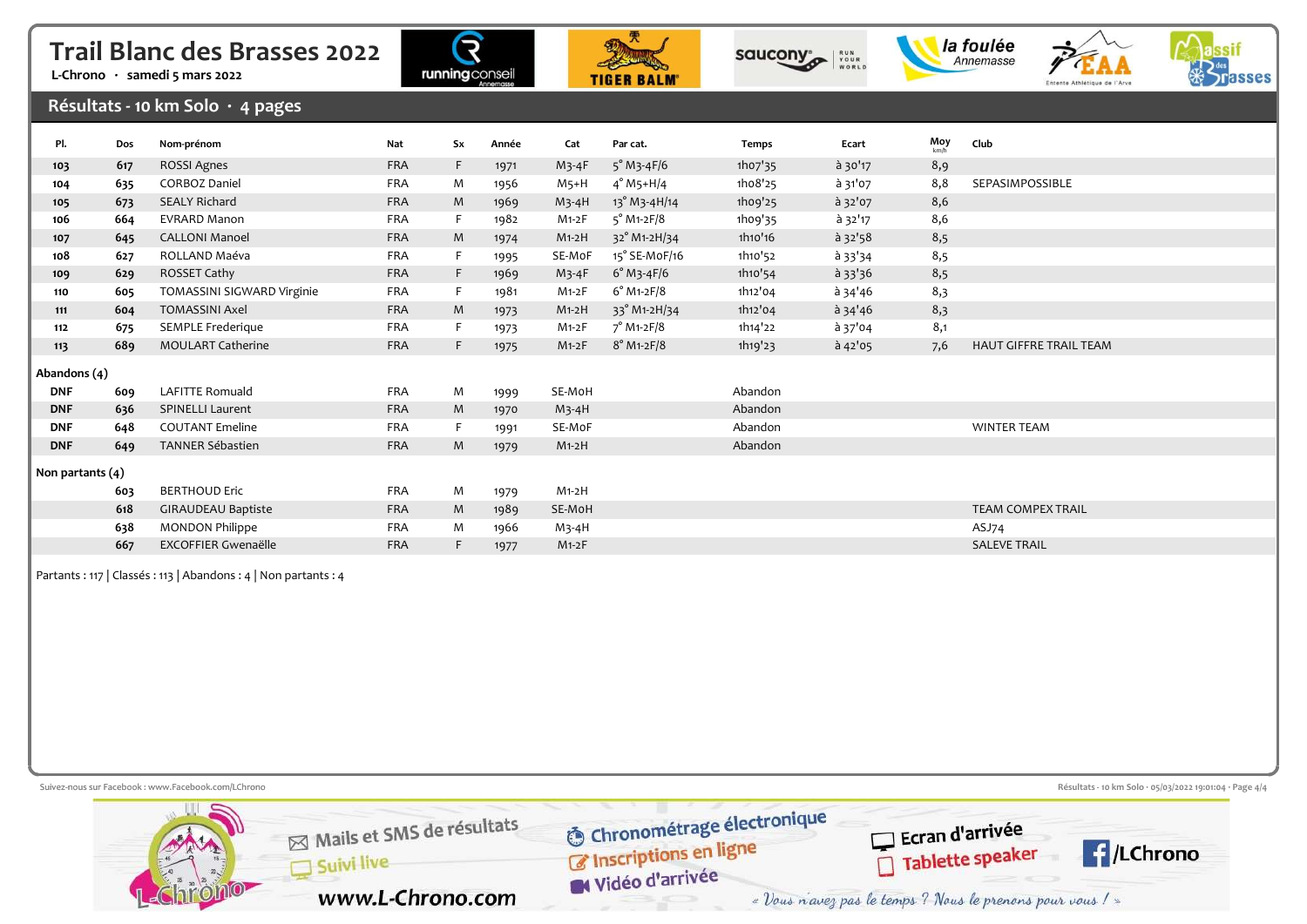









# Résultats - 10 km Solo · 4 pages

| PI.                | Dos | Nom-prénom                 | Nat        | Sx | Année | Cat      | Par cat.                         | Temps   | Ecart        | Moy<br>km/h | Club                          |
|--------------------|-----|----------------------------|------------|----|-------|----------|----------------------------------|---------|--------------|-------------|-------------------------------|
| 103                | 617 | ROSSI Agnes                | <b>FRA</b> | F  | 1971  | $M3-4F$  | $5^{\circ}$ M <sub>3</sub> -4F/6 | 1ho7'35 | $a$ 30'17    | 8,9         |                               |
| 104                | 635 | <b>CORBOZ Daniel</b>       | FRA        | M  | 1956  | $M5+H$   | $4^{\circ}$ M5+H/4               | 1ho8'25 | à 31'07      | 8,8         | SEPASIMPOSSIBLE               |
| 105                | 673 | <b>SEALY Richard</b>       | <b>FRA</b> | M  | 1969  | $M_3-4H$ | 13° M3-4H/14                     | 1h09'25 | $a_{32}$ '07 | 8,6         |                               |
| 106                | 664 | <b>EVRARD Manon</b>        | <b>FRA</b> | F  | 1982  | $M1-2F$  | $5^\circ$ M1-2F/8                | 1ho9'35 | à 32'17      | 8,6         |                               |
| 107                | 645 | <b>CALLONI Manoel</b>      | <b>FRA</b> | M  | 1974  | $M1-2H$  | 32° M1-2H/34                     | 1h10'16 | à 32'58      | 8,5         |                               |
| 108                | 627 | ROLLAND Maéva              | <b>FRA</b> |    | 1995  | SE-MoF   | 15° SE-MoF/16                    | 1h10'52 | à 33'34      | 8,5         |                               |
| 109                | 629 | ROSSET Cathy               | <b>FRA</b> | F. | 1969  | $M3-4F$  | $6°M_3-4F/6$                     | 1h10'54 | à 33'36      | 8,5         |                               |
| 110                | 605 | TOMASSINI SIGWARD Virginie | <b>FRA</b> |    | 1981  | $M1-2F$  | $6^{\circ}$ M1-2F/8              | 1h12'04 | à 34'46      | 8,3         |                               |
| 111                | 604 | <b>TOMASSINI Axel</b>      | <b>FRA</b> | M  | 1973  | $M1-2H$  | 33° M1-2H/34                     | 1h12'04 | $a$ 34'46    | 8,3         |                               |
| 112                | 675 | SEMPLE Frederique          | <b>FRA</b> |    | 1973  | $M1-2F$  | 7° M1-2F/8                       | 1h14'22 | à 37'04      | 8,1         |                               |
| 113                | 689 | <b>MOULART Catherine</b>   | <b>FRA</b> | F  | 1975  | $M1-2F$  | $8^\circ$ M1-2F/8                | 1h19'23 | $a$ 42'05    | 7,6         | <b>HAUT GIFFRE TRAIL TEAM</b> |
| Abandons (4)       |     |                            |            |    |       |          |                                  |         |              |             |                               |
| <b>DNF</b>         | 609 | LAFITTE Romuald            | <b>FRA</b> | M  | 1999  | SE-MoH   |                                  | Abandon |              |             |                               |
| <b>DNF</b>         | 636 | <b>SPINELLI Laurent</b>    | <b>FRA</b> | M  | 1970  | $M_3-4H$ |                                  | Abandon |              |             |                               |
| <b>DNF</b>         | 648 | <b>COUTANT Emeline</b>     | <b>FRA</b> |    | 1991  | SE-MoF   |                                  | Abandon |              |             | <b>WINTER TEAM</b>            |
| <b>DNF</b>         | 649 | <b>TANNER Sébastien</b>    | <b>FRA</b> | M  | 1979  | $M1-2H$  |                                  | Abandon |              |             |                               |
| Non partants $(4)$ |     |                            |            |    |       |          |                                  |         |              |             |                               |
|                    | 603 | <b>BERTHOUD Eric</b>       | <b>FRA</b> | M  | 1979  | M1-2H    |                                  |         |              |             |                               |
|                    | 618 | <b>GIRAUDEAU Baptiste</b>  | <b>FRA</b> | M  | 1989  | SE-MoH   |                                  |         |              |             | <b>TEAM COMPEX TRAIL</b>      |
|                    | 638 | <b>MONDON Philippe</b>     | FRA        | M  | 1966  | M3-4H    |                                  |         |              |             | ASJ74                         |
|                    | 667 | EXCOFFIER Gwenaëlle        | <b>FRA</b> | F  | 1977  | $M1-2F$  |                                  |         |              |             | <b>SALEVE TRAIL</b>           |

Partants : 117 | Classés : 113 | Abandons : 4 | Non partants : 4

Suivez-nous sur Facebook : www.Facebook.com/LChrono  $R = \frac{q}{4}$  and  $R = \frac{q}{4}$  and  $R = \frac{q}{4}$  and  $R = \frac{q}{4}$  and  $R = \frac{q}{4}$  and  $R = \frac{q}{4}$  and  $R = \frac{q}{4}$  and  $R = \frac{q}{4}$  and  $R = \frac{q}{4}$  and  $R = \frac{q}{4}$  and  $R = \frac{q}{4}$ O Chronométrage électronique Mails et SMS de résultats Ecran d'arrivée inscriptions en ligne Tablette speaker  $\blacksquare$ /LChrono Suivi live  $\Box$ Widéo d'arrivée www.L-Chrono.com « Vous n'avez pas le temps ? Nous le prenons pour vous ! »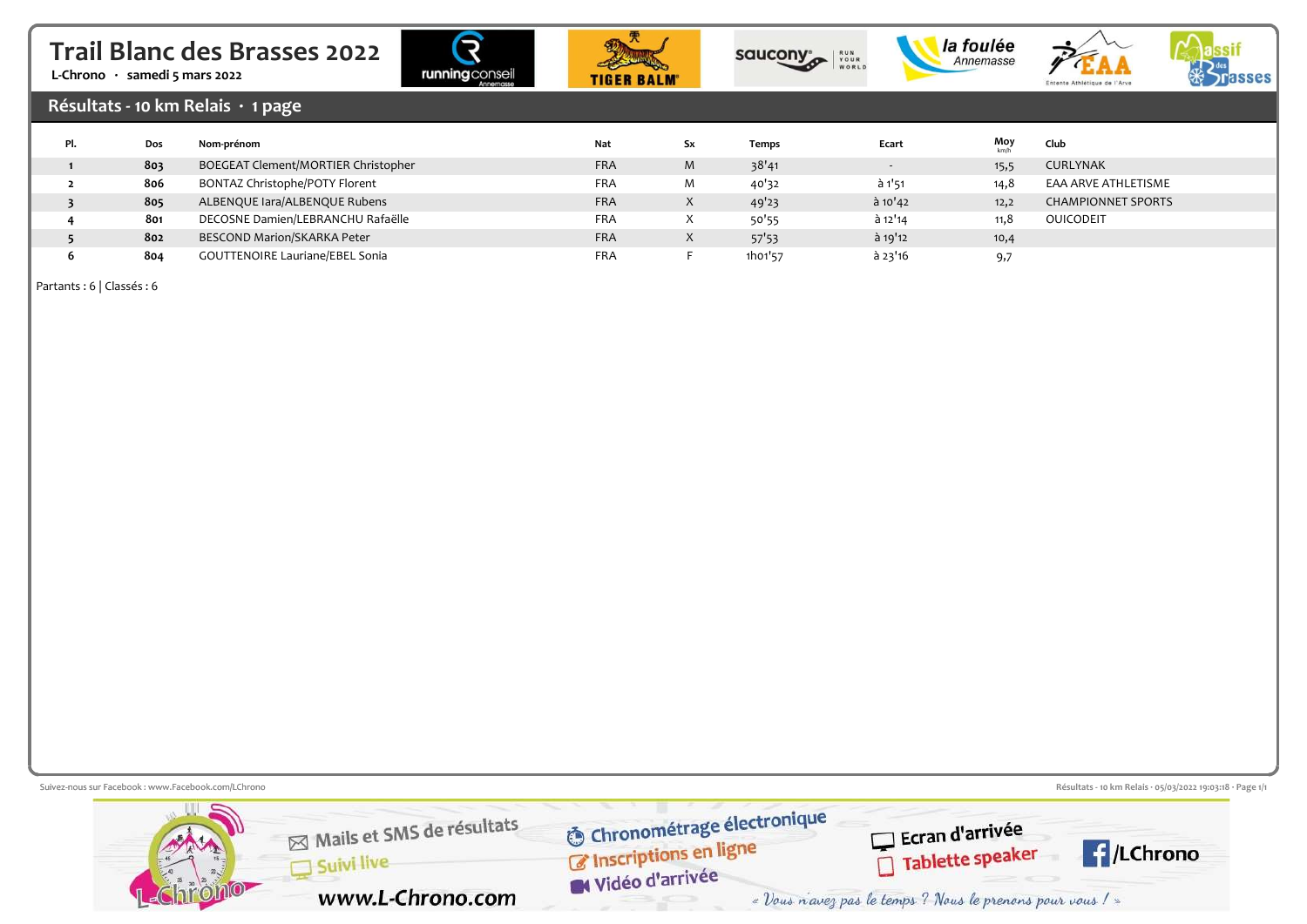







#### Résultats - 10 km Relais · 1 page

| Pl. | Dos | Nom-prénom                             | Nat        | Sx        | Temps   | Ecart          | $Moy$ <sub>km/h</sub> | Club                      |
|-----|-----|----------------------------------------|------------|-----------|---------|----------------|-----------------------|---------------------------|
|     | 803 | BOEGEAT Clement/MORTIER Christopher    | <b>FRA</b> | M         | 38'41   | $\overline{a}$ | 15,5                  | CURLYNAK                  |
|     | 806 | BONTAZ Christophe/POTY Florent         | <b>FRA</b> | M         | 40'32   | à 1'51         | 14,8                  | EAA ARVE ATHLETISME       |
|     | 805 | ALBENQUE lara/ALBENQUE Rubens          | <b>FRA</b> | $\Lambda$ | 49'23   | $a$ 10'42      | 12,2                  | <b>CHAMPIONNET SPORTS</b> |
|     | 801 | DECOSNE Damien/LEBRANCHU Rafaëlle      | <b>FRA</b> | $\Lambda$ | 50'55   | $a$ 12'14      | 11,8                  | <b>OUICODEIT</b>          |
|     | 802 | BESCOND Marion/SKARKA Peter            | <b>FRA</b> | $\Lambda$ | 57'53   | $a$ 19'12      | 10,4                  |                           |
|     | 804 | <b>GOUTTENOIRE Lauriane/EBEL Sonia</b> | <b>FRA</b> |           | 1h01'57 | $a$ 23'16      | 9,7                   |                           |

Partants : 6 | Classés : 6

Suivez-nous sur Facebook : www.Facebook.com/LChrono  $\mathbb{R}^2$  and  $\mathbb{R}^2$  and  $\mathbb{R}^2$  and  $\mathbb{R}^2$  and  $\mathbb{R}^2$  and  $\mathbb{R}^2$  and  $\mathbb{R}^2$  and  $\mathbb{R}^2$  and  $\mathbb{R}^2$  and  $\mathbb{R}^2$  and  $\mathbb{R}^2$  and  $\mathbb{$ O Chronométrage électronique Mails et SMS de résultats Ecran d'arrivée inscriptions en ligne Tablette speaker  $\bigcup$  /LChrono Suivi live Widéo d'arrivée www.L-Chrono.com « Vous n'avez pas le temps ? Nous le prenons pour vous ! »